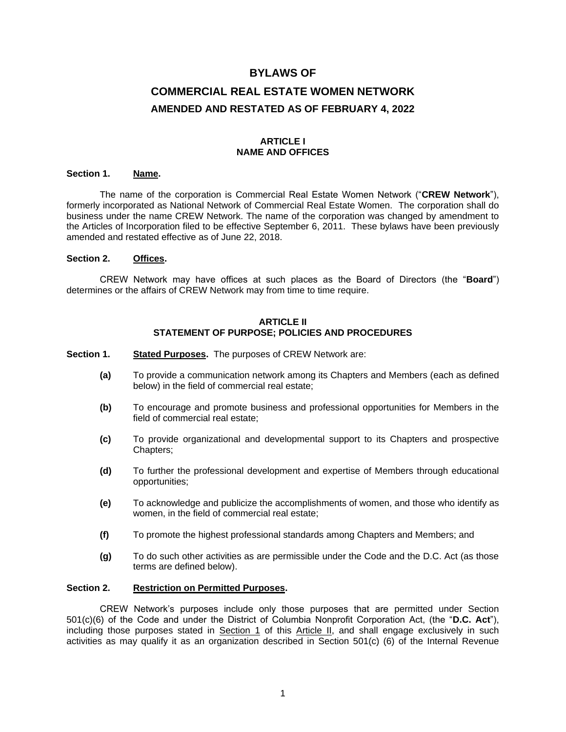# **BYLAWS OF COMMERCIAL REAL ESTATE WOMEN NETWORK AMENDED AND RESTATED AS OF FEBRUARY 4, 2022**

# **ARTICLE I NAME AND OFFICES**

## **Section 1. Name.**

The name of the corporation is Commercial Real Estate Women Network ("**CREW Network**"), formerly incorporated as National Network of Commercial Real Estate Women. The corporation shall do business under the name CREW Network. The name of the corporation was changed by amendment to the Articles of Incorporation filed to be effective September 6, 2011. These bylaws have been previously amended and restated effective as of June 22, 2018.

## **Section 2. Offices.**

CREW Network may have offices at such places as the Board of Directors (the "**Board**") determines or the affairs of CREW Network may from time to time require.

#### **ARTICLE II STATEMENT OF PURPOSE; POLICIES AND PROCEDURES**

- **Section 1. Stated Purposes.** The purposes of CREW Network are:
	- **(a)** To provide a communication network among its Chapters and Members (each as defined below) in the field of commercial real estate;
	- **(b)** To encourage and promote business and professional opportunities for Members in the field of commercial real estate;
	- **(c)** To provide organizational and developmental support to its Chapters and prospective Chapters;
	- **(d)** To further the professional development and expertise of Members through educational opportunities;
	- **(e)** To acknowledge and publicize the accomplishments of women, and those who identify as women, in the field of commercial real estate;
	- **(f)** To promote the highest professional standards among Chapters and Members; and
	- **(g)** To do such other activities as are permissible under the Code and the D.C. Act (as those terms are defined below).

#### **Section 2. Restriction on Permitted Purposes.**

CREW Network's purposes include only those purposes that are permitted under Section 501(c)(6) of the Code and under the District of Columbia Nonprofit Corporation Act, (the "**D.C. Act**"), including those purposes stated in Section 1 of this Article II, and shall engage exclusively in such activities as may qualify it as an organization described in Section 501(c) (6) of the Internal Revenue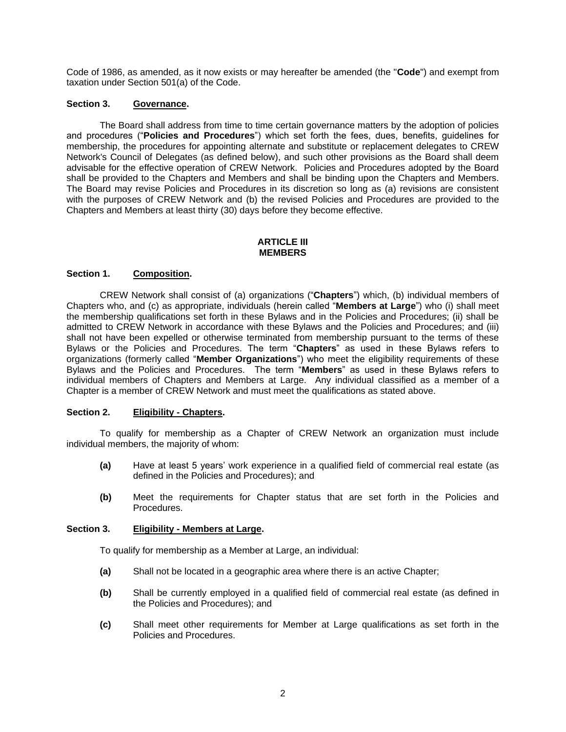Code of 1986, as amended, as it now exists or may hereafter be amended (the "**Code**") and exempt from taxation under Section 501(a) of the Code.

## **Section 3. Governance.**

The Board shall address from time to time certain governance matters by the adoption of policies and procedures ("**Policies and Procedures**") which set forth the fees, dues, benefits, guidelines for membership, the procedures for appointing alternate and substitute or replacement delegates to CREW Network's Council of Delegates (as defined below), and such other provisions as the Board shall deem advisable for the effective operation of CREW Network. Policies and Procedures adopted by the Board shall be provided to the Chapters and Members and shall be binding upon the Chapters and Members. The Board may revise Policies and Procedures in its discretion so long as (a) revisions are consistent with the purposes of CREW Network and (b) the revised Policies and Procedures are provided to the Chapters and Members at least thirty (30) days before they become effective.

#### **ARTICLE III MEMBERS**

## **Section 1. Composition.**

CREW Network shall consist of (a) organizations ("**Chapters**") which, (b) individual members of Chapters who, and (c) as appropriate, individuals (herein called "**Members at Large**") who (i) shall meet the membership qualifications set forth in these Bylaws and in the Policies and Procedures; (ii) shall be admitted to CREW Network in accordance with these Bylaws and the Policies and Procedures; and (iii) shall not have been expelled or otherwise terminated from membership pursuant to the terms of these Bylaws or the Policies and Procedures. The term "**Chapters**" as used in these Bylaws refers to organizations (formerly called "**Member Organizations**") who meet the eligibility requirements of these Bylaws and the Policies and Procedures. The term "**Members**" as used in these Bylaws refers to individual members of Chapters and Members at Large. Any individual classified as a member of a Chapter is a member of CREW Network and must meet the qualifications as stated above.

#### **Section 2. Eligibility - Chapters.**

To qualify for membership as a Chapter of CREW Network an organization must include individual members, the majority of whom:

- **(a)** Have at least 5 years' work experience in a qualified field of commercial real estate (as defined in the Policies and Procedures); and
- **(b)** Meet the requirements for Chapter status that are set forth in the Policies and Procedures.

#### **Section 3. Eligibility - Members at Large.**

To qualify for membership as a Member at Large, an individual:

- **(a)** Shall not be located in a geographic area where there is an active Chapter;
- **(b)** Shall be currently employed in a qualified field of commercial real estate (as defined in the Policies and Procedures); and
- **(c)** Shall meet other requirements for Member at Large qualifications as set forth in the Policies and Procedures.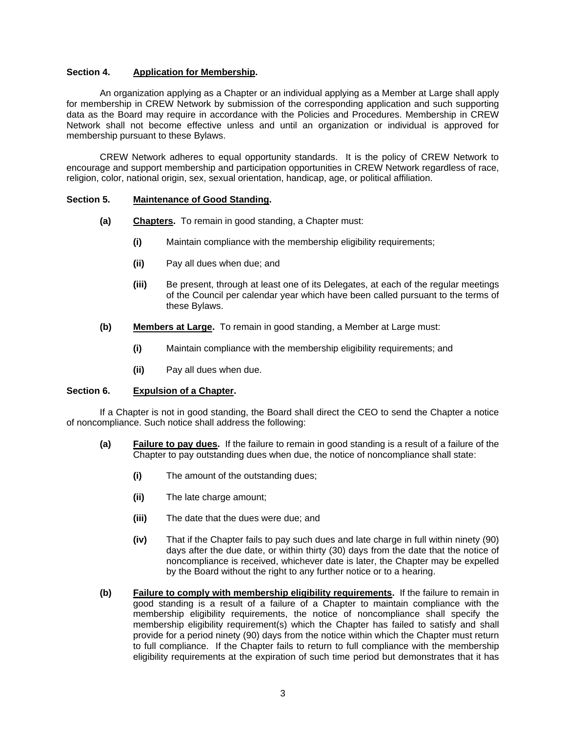## **Section 4. Application for Membership.**

An organization applying as a Chapter or an individual applying as a Member at Large shall apply for membership in CREW Network by submission of the corresponding application and such supporting data as the Board may require in accordance with the Policies and Procedures. Membership in CREW Network shall not become effective unless and until an organization or individual is approved for membership pursuant to these Bylaws.

CREW Network adheres to equal opportunity standards. It is the policy of CREW Network to encourage and support membership and participation opportunities in CREW Network regardless of race, religion, color, national origin, sex, sexual orientation, handicap, age, or political affiliation.

#### **Section 5. Maintenance of Good Standing.**

- **(a) Chapters.** To remain in good standing, a Chapter must:
	- **(i)** Maintain compliance with the membership eligibility requirements;
	- **(ii)** Pay all dues when due; and
	- **(iii)** Be present, through at least one of its Delegates, at each of the regular meetings of the Council per calendar year which have been called pursuant to the terms of these Bylaws.
- **(b) Members at Large.** To remain in good standing, a Member at Large must:
	- **(i)** Maintain compliance with the membership eligibility requirements; and
	- **(ii)** Pay all dues when due.

# **Section 6. Expulsion of a Chapter.**

If a Chapter is not in good standing, the Board shall direct the CEO to send the Chapter a notice of noncompliance. Such notice shall address the following:

- **(a) Failure to pay dues.** If the failure to remain in good standing is a result of a failure of the Chapter to pay outstanding dues when due, the notice of noncompliance shall state:
	- **(i)** The amount of the outstanding dues;
	- **(ii)** The late charge amount;
	- **(iii)** The date that the dues were due; and
	- **(iv)** That if the Chapter fails to pay such dues and late charge in full within ninety (90) days after the due date, or within thirty (30) days from the date that the notice of noncompliance is received, whichever date is later, the Chapter may be expelled by the Board without the right to any further notice or to a hearing.
- **(b) Failure to comply with membership eligibility requirements.** If the failure to remain in good standing is a result of a failure of a Chapter to maintain compliance with the membership eligibility requirements, the notice of noncompliance shall specify the membership eligibility requirement(s) which the Chapter has failed to satisfy and shall provide for a period ninety (90) days from the notice within which the Chapter must return to full compliance. If the Chapter fails to return to full compliance with the membership eligibility requirements at the expiration of such time period but demonstrates that it has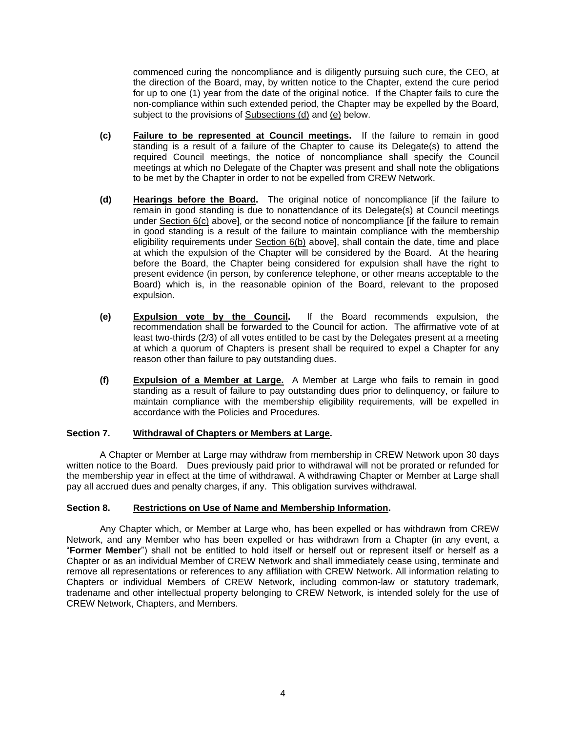commenced curing the noncompliance and is diligently pursuing such cure, the CEO, at the direction of the Board, may, by written notice to the Chapter, extend the cure period for up to one (1) year from the date of the original notice. If the Chapter fails to cure the non-compliance within such extended period, the Chapter may be expelled by the Board, subject to the provisions of Subsections (d) and (e) below.

- **(c) Failure to be represented at Council meetings.** If the failure to remain in good standing is a result of a failure of the Chapter to cause its Delegate(s) to attend the required Council meetings, the notice of noncompliance shall specify the Council meetings at which no Delegate of the Chapter was present and shall note the obligations to be met by the Chapter in order to not be expelled from CREW Network.
- **(d) Hearings before the Board.** The original notice of noncompliance [if the failure to remain in good standing is due to nonattendance of its Delegate(s) at Council meetings under Section 6(c) above], or the second notice of noncompliance [if the failure to remain in good standing is a result of the failure to maintain compliance with the membership eligibility requirements under Section 6(b) above], shall contain the date, time and place at which the expulsion of the Chapter will be considered by the Board. At the hearing before the Board, the Chapter being considered for expulsion shall have the right to present evidence (in person, by conference telephone, or other means acceptable to the Board) which is, in the reasonable opinion of the Board, relevant to the proposed expulsion.
- **(e) Expulsion vote by the Council.** If the Board recommends expulsion, the recommendation shall be forwarded to the Council for action. The affirmative vote of at least two-thirds (2/3) of all votes entitled to be cast by the Delegates present at a meeting at which a quorum of Chapters is present shall be required to expel a Chapter for any reason other than failure to pay outstanding dues.
- **(f) Expulsion of a Member at Large.** A Member at Large who fails to remain in good standing as a result of failure to pay outstanding dues prior to delinquency, or failure to maintain compliance with the membership eligibility requirements, will be expelled in accordance with the Policies and Procedures.

## **Section 7. Withdrawal of Chapters or Members at Large.**

A Chapter or Member at Large may withdraw from membership in CREW Network upon 30 days written notice to the Board. Dues previously paid prior to withdrawal will not be prorated or refunded for the membership year in effect at the time of withdrawal. A withdrawing Chapter or Member at Large shall pay all accrued dues and penalty charges, if any. This obligation survives withdrawal.

## **Section 8. Restrictions on Use of Name and Membership Information.**

Any Chapter which, or Member at Large who, has been expelled or has withdrawn from CREW Network, and any Member who has been expelled or has withdrawn from a Chapter (in any event, a "**Former Member**") shall not be entitled to hold itself or herself out or represent itself or herself as a Chapter or as an individual Member of CREW Network and shall immediately cease using, terminate and remove all representations or references to any affiliation with CREW Network. All information relating to Chapters or individual Members of CREW Network, including common-law or statutory trademark, tradename and other intellectual property belonging to CREW Network, is intended solely for the use of CREW Network, Chapters, and Members.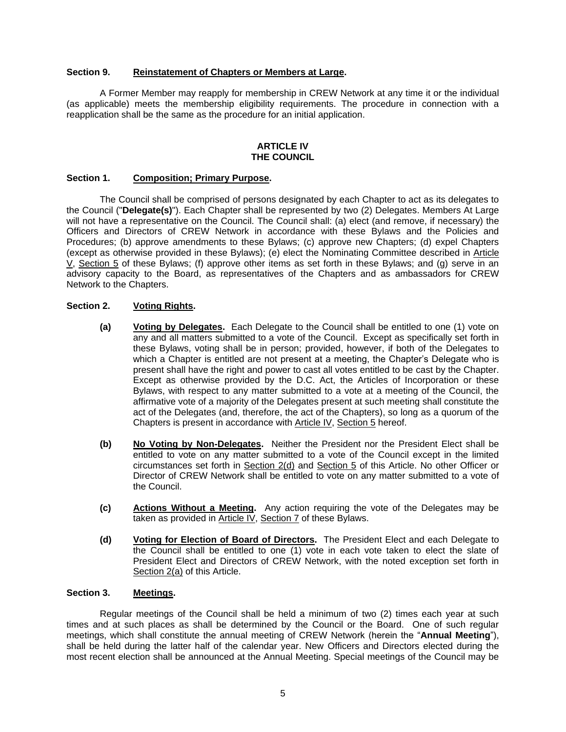## **Section 9. Reinstatement of Chapters or Members at Large.**

A Former Member may reapply for membership in CREW Network at any time it or the individual (as applicable) meets the membership eligibility requirements. The procedure in connection with a reapplication shall be the same as the procedure for an initial application.

#### **ARTICLE IV THE COUNCIL**

## **Section 1. Composition; Primary Purpose.**

The Council shall be comprised of persons designated by each Chapter to act as its delegates to the Council ("**Delegate(s)**"). Each Chapter shall be represented by two (2) Delegates. Members At Large will not have a representative on the Council. The Council shall: (a) elect (and remove, if necessary) the Officers and Directors of CREW Network in accordance with these Bylaws and the Policies and Procedures; (b) approve amendments to these Bylaws; (c) approve new Chapters; (d) expel Chapters (except as otherwise provided in these Bylaws); (e) elect the Nominating Committee described in Article V, Section 5 of these Bylaws; (f) approve other items as set forth in these Bylaws; and (g) serve in an advisory capacity to the Board, as representatives of the Chapters and as ambassadors for CREW Network to the Chapters.

# **Section 2. Voting Rights.**

- **(a) Voting by Delegates.** Each Delegate to the Council shall be entitled to one (1) vote on any and all matters submitted to a vote of the Council. Except as specifically set forth in these Bylaws, voting shall be in person; provided, however, if both of the Delegates to which a Chapter is entitled are not present at a meeting, the Chapter's Delegate who is present shall have the right and power to cast all votes entitled to be cast by the Chapter. Except as otherwise provided by the D.C. Act, the Articles of Incorporation or these Bylaws, with respect to any matter submitted to a vote at a meeting of the Council, the affirmative vote of a majority of the Delegates present at such meeting shall constitute the act of the Delegates (and, therefore, the act of the Chapters), so long as a quorum of the Chapters is present in accordance with Article IV, Section 5 hereof.
- **(b) No Voting by Non-Delegates.** Neither the President nor the President Elect shall be entitled to vote on any matter submitted to a vote of the Council except in the limited circumstances set forth in Section 2(d) and Section 5 of this Article. No other Officer or Director of CREW Network shall be entitled to vote on any matter submitted to a vote of the Council.
- **(c) Actions Without a Meeting.** Any action requiring the vote of the Delegates may be taken as provided in Article IV, Section 7 of these Bylaws.
- **(d) Voting for Election of Board of Directors.** The President Elect and each Delegate to the Council shall be entitled to one (1) vote in each vote taken to elect the slate of President Elect and Directors of CREW Network, with the noted exception set forth in Section 2(a) of this Article.

## **Section 3. Meetings.**

Regular meetings of the Council shall be held a minimum of two (2) times each year at such times and at such places as shall be determined by the Council or the Board. One of such regular meetings, which shall constitute the annual meeting of CREW Network (herein the "**Annual Meeting**"), shall be held during the latter half of the calendar year. New Officers and Directors elected during the most recent election shall be announced at the Annual Meeting. Special meetings of the Council may be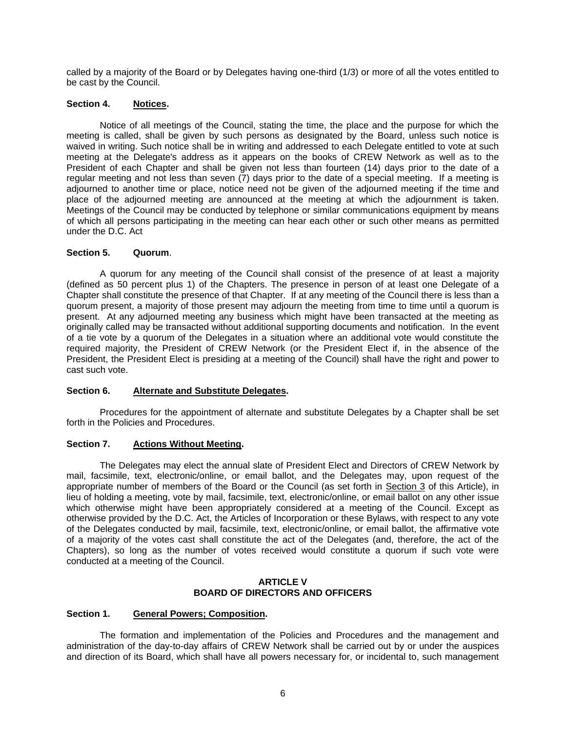called by a majority of the Board or by Delegates having one-third (1/3) or more of all the votes entitled to be cast by the Council.

# **Section 4. Notices.**

Notice of all meetings of the Council, stating the time, the place and the purpose for which the meeting is called, shall be given by such persons as designated by the Board, unless such notice is waived in writing. Such notice shall be in writing and addressed to each Delegate entitled to vote at such meeting at the Delegate's address as it appears on the books of CREW Network as well as to the President of each Chapter and shall be given not less than fourteen (14) days prior to the date of a regular meeting and not less than seven (7) days prior to the date of a special meeting. If a meeting is adjourned to another time or place, notice need not be given of the adjourned meeting if the time and place of the adjourned meeting are announced at the meeting at which the adjournment is taken. Meetings of the Council may be conducted by telephone or similar communications equipment by means of which all persons participating in the meeting can hear each other or such other means as permitted under the D.C. Act

# **Section 5. Quorum**.

A quorum for any meeting of the Council shall consist of the presence of at least a majority (defined as 50 percent plus 1) of the Chapters. The presence in person of at least one Delegate of a Chapter shall constitute the presence of that Chapter. If at any meeting of the Council there is less than a quorum present, a majority of those present may adjourn the meeting from time to time until a quorum is present. At any adjourned meeting any business which might have been transacted at the meeting as originally called may be transacted without additional supporting documents and notification. In the event of a tie vote by a quorum of the Delegates in a situation where an additional vote would constitute the required majority, the President of CREW Network (or the President Elect if, in the absence of the President, the President Elect is presiding at a meeting of the Council) shall have the right and power to cast such vote.

# **Section 6. Alternate and Substitute Delegates.**

Procedures for the appointment of alternate and substitute Delegates by a Chapter shall be set forth in the Policies and Procedures.

## **Section 7. Actions Without Meeting.**

The Delegates may elect the annual slate of President Elect and Directors of CREW Network by mail, facsimile, text, electronic/online, or email ballot, and the Delegates may, upon request of the appropriate number of members of the Board or the Council (as set forth in Section 3 of this Article), in lieu of holding a meeting, vote by mail, facsimile, text, electronic/online, or email ballot on any other issue which otherwise might have been appropriately considered at a meeting of the Council. Except as otherwise provided by the D.C. Act, the Articles of Incorporation or these Bylaws, with respect to any vote of the Delegates conducted by mail, facsimile, text, electronic/online, or email ballot, the affirmative vote of a majority of the votes cast shall constitute the act of the Delegates (and, therefore, the act of the Chapters), so long as the number of votes received would constitute a quorum if such vote were conducted at a meeting of the Council.

## **ARTICLE V BOARD OF DIRECTORS AND OFFICERS**

## **Section 1. General Powers; Composition.**

The formation and implementation of the Policies and Procedures and the management and administration of the day-to-day affairs of CREW Network shall be carried out by or under the auspices and direction of its Board, which shall have all powers necessary for, or incidental to, such management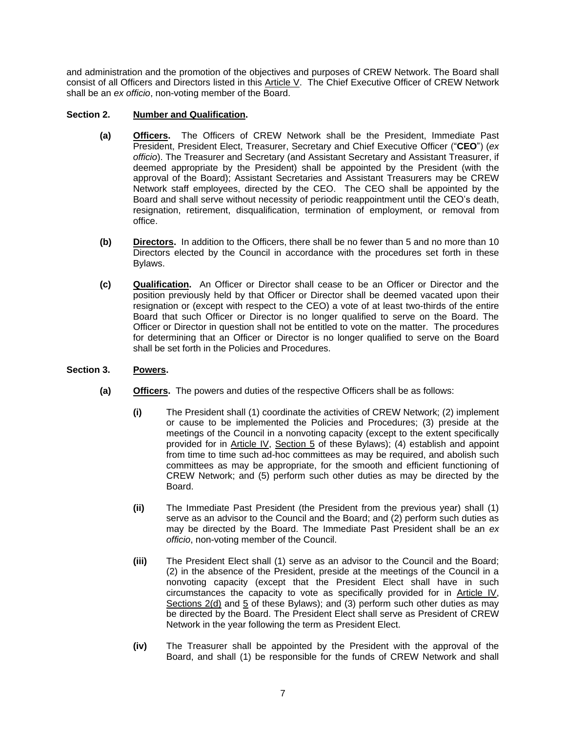and administration and the promotion of the objectives and purposes of CREW Network. The Board shall consist of all Officers and Directors listed in this Article V. The Chief Executive Officer of CREW Network shall be an *ex officio*, non-voting member of the Board.

# **Section 2. Number and Qualification.**

- **(a) Officers.** The Officers of CREW Network shall be the President, Immediate Past President, President Elect, Treasurer, Secretary and Chief Executive Officer ("**CEO**") (*ex officio*). The Treasurer and Secretary (and Assistant Secretary and Assistant Treasurer, if deemed appropriate by the President) shall be appointed by the President (with the approval of the Board); Assistant Secretaries and Assistant Treasurers may be CREW Network staff employees, directed by the CEO. The CEO shall be appointed by the Board and shall serve without necessity of periodic reappointment until the CEO's death, resignation, retirement, disqualification, termination of employment, or removal from office.
- **(b) Directors.** In addition to the Officers, there shall be no fewer than 5 and no more than 10 Directors elected by the Council in accordance with the procedures set forth in these Bylaws.
- **(c) Qualification.** An Officer or Director shall cease to be an Officer or Director and the position previously held by that Officer or Director shall be deemed vacated upon their resignation or (except with respect to the CEO) a vote of at least two-thirds of the entire Board that such Officer or Director is no longer qualified to serve on the Board. The Officer or Director in question shall not be entitled to vote on the matter. The procedures for determining that an Officer or Director is no longer qualified to serve on the Board shall be set forth in the Policies and Procedures.

## **Section 3. Powers.**

- **(a) Officers.** The powers and duties of the respective Officers shall be as follows:
	- **(i)** The President shall (1) coordinate the activities of CREW Network; (2) implement or cause to be implemented the Policies and Procedures; (3) preside at the meetings of the Council in a nonvoting capacity (except to the extent specifically provided for in Article IV, Section 5 of these Bylaws); (4) establish and appoint from time to time such ad-hoc committees as may be required, and abolish such committees as may be appropriate, for the smooth and efficient functioning of CREW Network; and (5) perform such other duties as may be directed by the Board.
	- **(ii)** The Immediate Past President (the President from the previous year) shall (1) serve as an advisor to the Council and the Board; and (2) perform such duties as may be directed by the Board. The Immediate Past President shall be an *ex officio*, non-voting member of the Council.
	- **(iii)** The President Elect shall (1) serve as an advisor to the Council and the Board; (2) in the absence of the President, preside at the meetings of the Council in a nonvoting capacity (except that the President Elect shall have in such circumstances the capacity to vote as specifically provided for in Article IV, Sections 2(d) and 5 of these Bylaws); and (3) perform such other duties as may be directed by the Board. The President Elect shall serve as President of CREW Network in the year following the term as President Elect.
	- **(iv)** The Treasurer shall be appointed by the President with the approval of the Board, and shall (1) be responsible for the funds of CREW Network and shall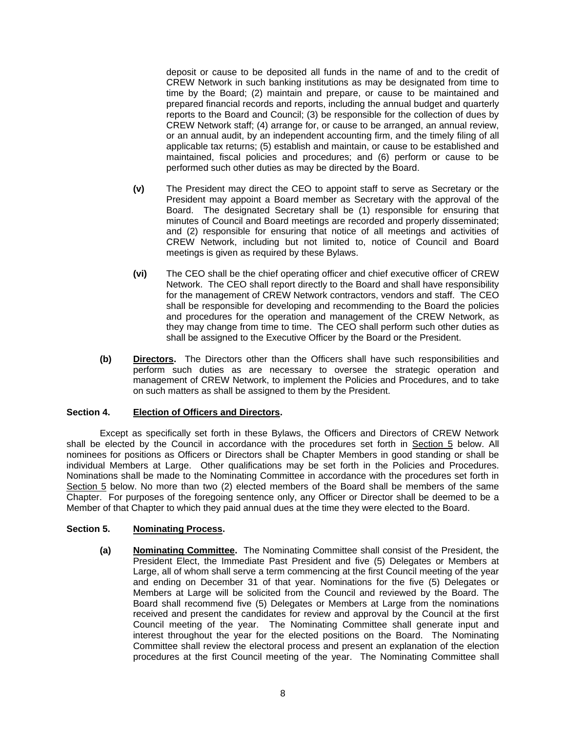deposit or cause to be deposited all funds in the name of and to the credit of CREW Network in such banking institutions as may be designated from time to time by the Board; (2) maintain and prepare, or cause to be maintained and prepared financial records and reports, including the annual budget and quarterly reports to the Board and Council; (3) be responsible for the collection of dues by CREW Network staff; (4) arrange for, or cause to be arranged, an annual review, or an annual audit, by an independent accounting firm, and the timely filing of all applicable tax returns; (5) establish and maintain, or cause to be established and maintained, fiscal policies and procedures; and (6) perform or cause to be performed such other duties as may be directed by the Board.

- **(v)** The President may direct the CEO to appoint staff to serve as Secretary or the President may appoint a Board member as Secretary with the approval of the Board. The designated Secretary shall be (1) responsible for ensuring that minutes of Council and Board meetings are recorded and properly disseminated; and (2) responsible for ensuring that notice of all meetings and activities of CREW Network, including but not limited to, notice of Council and Board meetings is given as required by these Bylaws.
- **(vi)** The CEO shall be the chief operating officer and chief executive officer of CREW Network. The CEO shall report directly to the Board and shall have responsibility for the management of CREW Network contractors, vendors and staff. The CEO shall be responsible for developing and recommending to the Board the policies and procedures for the operation and management of the CREW Network, as they may change from time to time. The CEO shall perform such other duties as shall be assigned to the Executive Officer by the Board or the President.
- **(b) Directors.** The Directors other than the Officers shall have such responsibilities and perform such duties as are necessary to oversee the strategic operation and management of CREW Network, to implement the Policies and Procedures, and to take on such matters as shall be assigned to them by the President.

## **Section 4. Election of Officers and Directors.**

Except as specifically set forth in these Bylaws, the Officers and Directors of CREW Network shall be elected by the Council in accordance with the procedures set forth in Section 5 below. All nominees for positions as Officers or Directors shall be Chapter Members in good standing or shall be individual Members at Large. Other qualifications may be set forth in the Policies and Procedures. Nominations shall be made to the Nominating Committee in accordance with the procedures set forth in Section 5 below. No more than two (2) elected members of the Board shall be members of the same Chapter. For purposes of the foregoing sentence only, any Officer or Director shall be deemed to be a Member of that Chapter to which they paid annual dues at the time they were elected to the Board.

## **Section 5. Nominating Process.**

**(a) Nominating Committee.** The Nominating Committee shall consist of the President, the President Elect, the Immediate Past President and five (5) Delegates or Members at Large, all of whom shall serve a term commencing at the first Council meeting of the year and ending on December 31 of that year. Nominations for the five (5) Delegates or Members at Large will be solicited from the Council and reviewed by the Board. The Board shall recommend five (5) Delegates or Members at Large from the nominations received and present the candidates for review and approval by the Council at the first Council meeting of the year. The Nominating Committee shall generate input and interest throughout the year for the elected positions on the Board. The Nominating Committee shall review the electoral process and present an explanation of the election procedures at the first Council meeting of the year. The Nominating Committee shall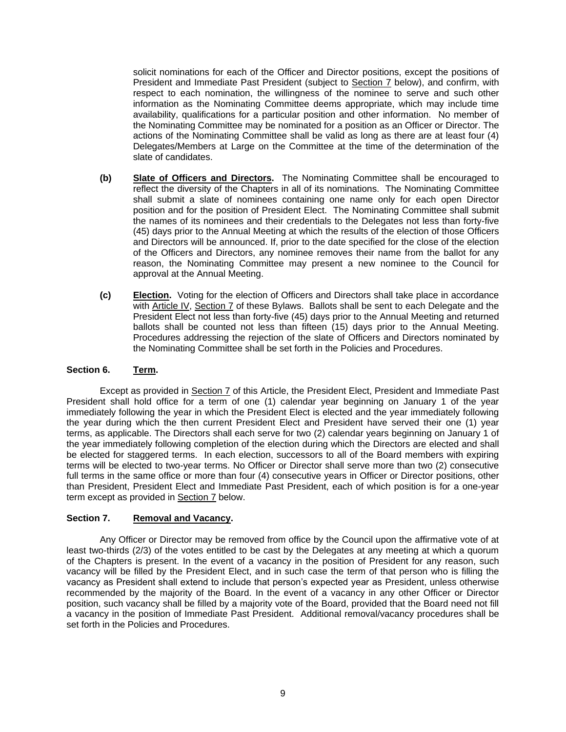solicit nominations for each of the Officer and Director positions, except the positions of President and Immediate Past President (subject to Section 7 below), and confirm, with respect to each nomination, the willingness of the nominee to serve and such other information as the Nominating Committee deems appropriate, which may include time availability, qualifications for a particular position and other information. No member of the Nominating Committee may be nominated for a position as an Officer or Director. The actions of the Nominating Committee shall be valid as long as there are at least four (4) Delegates/Members at Large on the Committee at the time of the determination of the slate of candidates.

- **(b) Slate of Officers and Directors.** The Nominating Committee shall be encouraged to reflect the diversity of the Chapters in all of its nominations. The Nominating Committee shall submit a slate of nominees containing one name only for each open Director position and for the position of President Elect. The Nominating Committee shall submit the names of its nominees and their credentials to the Delegates not less than forty-five (45) days prior to the Annual Meeting at which the results of the election of those Officers and Directors will be announced. If, prior to the date specified for the close of the election of the Officers and Directors, any nominee removes their name from the ballot for any reason, the Nominating Committee may present a new nominee to the Council for approval at the Annual Meeting.
- **(c) Election.** Voting for the election of Officers and Directors shall take place in accordance with Article IV, Section 7 of these Bylaws. Ballots shall be sent to each Delegate and the President Elect not less than forty-five (45) days prior to the Annual Meeting and returned ballots shall be counted not less than fifteen (15) days prior to the Annual Meeting. Procedures addressing the rejection of the slate of Officers and Directors nominated by the Nominating Committee shall be set forth in the Policies and Procedures.

## **Section 6. Term.**

Except as provided in Section 7 of this Article, the President Elect, President and Immediate Past President shall hold office for a term of one (1) calendar year beginning on January 1 of the year immediately following the year in which the President Elect is elected and the year immediately following the year during which the then current President Elect and President have served their one (1) year terms, as applicable. The Directors shall each serve for two (2) calendar years beginning on January 1 of the year immediately following completion of the election during which the Directors are elected and shall be elected for staggered terms. In each election, successors to all of the Board members with expiring terms will be elected to two-year terms. No Officer or Director shall serve more than two (2) consecutive full terms in the same office or more than four (4) consecutive years in Officer or Director positions, other than President, President Elect and Immediate Past President, each of which position is for a one-year term except as provided in Section 7 below.

## **Section 7. Removal and Vacancy.**

Any Officer or Director may be removed from office by the Council upon the affirmative vote of at least two-thirds (2/3) of the votes entitled to be cast by the Delegates at any meeting at which a quorum of the Chapters is present. In the event of a vacancy in the position of President for any reason, such vacancy will be filled by the President Elect, and in such case the term of that person who is filling the vacancy as President shall extend to include that person's expected year as President, unless otherwise recommended by the majority of the Board. In the event of a vacancy in any other Officer or Director position, such vacancy shall be filled by a majority vote of the Board, provided that the Board need not fill a vacancy in the position of Immediate Past President. Additional removal/vacancy procedures shall be set forth in the Policies and Procedures.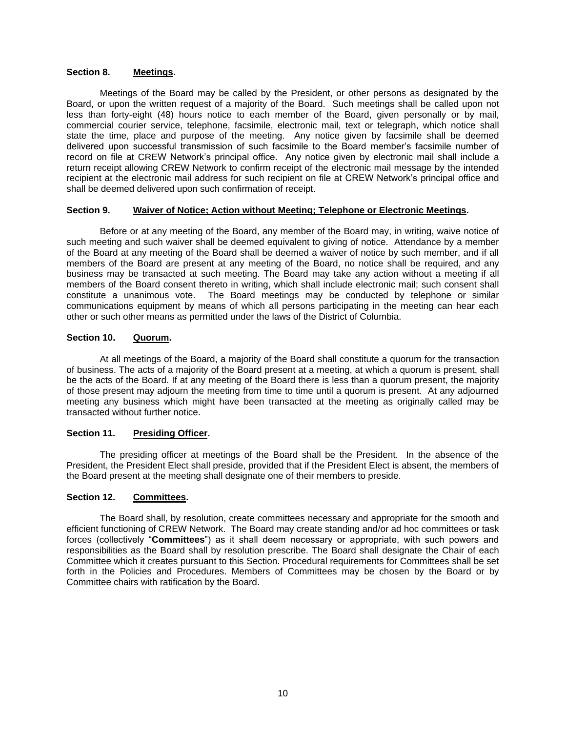## **Section 8. Meetings.**

Meetings of the Board may be called by the President, or other persons as designated by the Board, or upon the written request of a majority of the Board. Such meetings shall be called upon not less than forty-eight (48) hours notice to each member of the Board, given personally or by mail, commercial courier service, telephone, facsimile, electronic mail, text or telegraph, which notice shall state the time, place and purpose of the meeting. Any notice given by facsimile shall be deemed delivered upon successful transmission of such facsimile to the Board member's facsimile number of record on file at CREW Network's principal office. Any notice given by electronic mail shall include a return receipt allowing CREW Network to confirm receipt of the electronic mail message by the intended recipient at the electronic mail address for such recipient on file at CREW Network's principal office and shall be deemed delivered upon such confirmation of receipt.

## **Section 9. Waiver of Notice; Action without Meeting; Telephone or Electronic Meetings.**

Before or at any meeting of the Board, any member of the Board may, in writing, waive notice of such meeting and such waiver shall be deemed equivalent to giving of notice. Attendance by a member of the Board at any meeting of the Board shall be deemed a waiver of notice by such member, and if all members of the Board are present at any meeting of the Board, no notice shall be required, and any business may be transacted at such meeting. The Board may take any action without a meeting if all members of the Board consent thereto in writing, which shall include electronic mail; such consent shall constitute a unanimous vote. The Board meetings may be conducted by telephone or similar communications equipment by means of which all persons participating in the meeting can hear each other or such other means as permitted under the laws of the District of Columbia.

# **Section 10. Quorum.**

At all meetings of the Board, a majority of the Board shall constitute a quorum for the transaction of business. The acts of a majority of the Board present at a meeting, at which a quorum is present, shall be the acts of the Board. If at any meeting of the Board there is less than a quorum present, the majority of those present may adjourn the meeting from time to time until a quorum is present. At any adjourned meeting any business which might have been transacted at the meeting as originally called may be transacted without further notice.

## **Section 11. Presiding Officer.**

The presiding officer at meetings of the Board shall be the President. In the absence of the President, the President Elect shall preside, provided that if the President Elect is absent, the members of the Board present at the meeting shall designate one of their members to preside.

# **Section 12. Committees.**

The Board shall, by resolution, create committees necessary and appropriate for the smooth and efficient functioning of CREW Network. The Board may create standing and/or ad hoc committees or task forces (collectively "**Committees**") as it shall deem necessary or appropriate, with such powers and responsibilities as the Board shall by resolution prescribe. The Board shall designate the Chair of each Committee which it creates pursuant to this Section. Procedural requirements for Committees shall be set forth in the Policies and Procedures. Members of Committees may be chosen by the Board or by Committee chairs with ratification by the Board.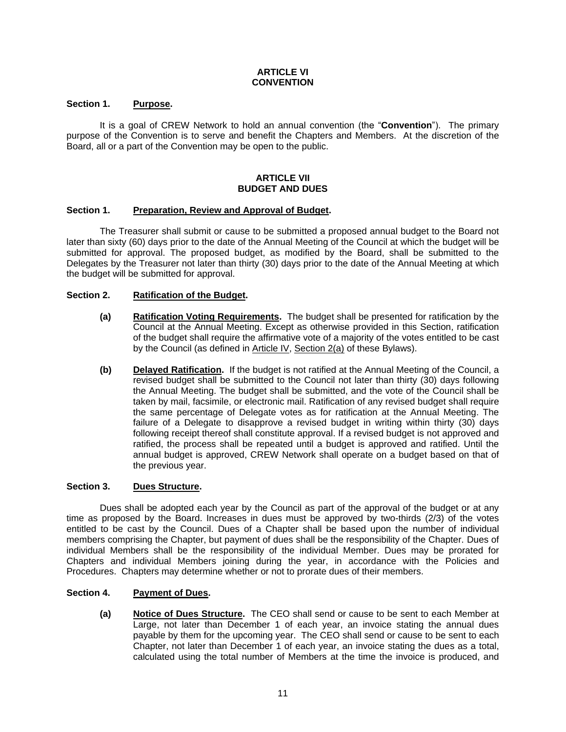## **ARTICLE VI CONVENTION**

## **Section 1. Purpose.**

It is a goal of CREW Network to hold an annual convention (the "**Convention**"). The primary purpose of the Convention is to serve and benefit the Chapters and Members. At the discretion of the Board, all or a part of the Convention may be open to the public.

#### **ARTICLE VII BUDGET AND DUES**

## **Section 1. Preparation, Review and Approval of Budget.**

The Treasurer shall submit or cause to be submitted a proposed annual budget to the Board not later than sixty (60) days prior to the date of the Annual Meeting of the Council at which the budget will be submitted for approval. The proposed budget, as modified by the Board, shall be submitted to the Delegates by the Treasurer not later than thirty (30) days prior to the date of the Annual Meeting at which the budget will be submitted for approval.

## **Section 2. Ratification of the Budget.**

- **(a) Ratification Voting Requirements.** The budget shall be presented for ratification by the Council at the Annual Meeting. Except as otherwise provided in this Section, ratification of the budget shall require the affirmative vote of a majority of the votes entitled to be cast by the Council (as defined in Article IV, Section 2(a) of these Bylaws).
- **(b) Delayed Ratification.** If the budget is not ratified at the Annual Meeting of the Council, a revised budget shall be submitted to the Council not later than thirty (30) days following the Annual Meeting. The budget shall be submitted, and the vote of the Council shall be taken by mail, facsimile, or electronic mail. Ratification of any revised budget shall require the same percentage of Delegate votes as for ratification at the Annual Meeting. The failure of a Delegate to disapprove a revised budget in writing within thirty (30) days following receipt thereof shall constitute approval. If a revised budget is not approved and ratified, the process shall be repeated until a budget is approved and ratified. Until the annual budget is approved, CREW Network shall operate on a budget based on that of the previous year.

#### **Section 3. Dues Structure.**

Dues shall be adopted each year by the Council as part of the approval of the budget or at any time as proposed by the Board. Increases in dues must be approved by two-thirds (2/3) of the votes entitled to be cast by the Council. Dues of a Chapter shall be based upon the number of individual members comprising the Chapter, but payment of dues shall be the responsibility of the Chapter. Dues of individual Members shall be the responsibility of the individual Member. Dues may be prorated for Chapters and individual Members joining during the year, in accordance with the Policies and Procedures. Chapters may determine whether or not to prorate dues of their members.

## **Section 4. Payment of Dues.**

**(a) Notice of Dues Structure.** The CEO shall send or cause to be sent to each Member at Large, not later than December 1 of each year, an invoice stating the annual dues payable by them for the upcoming year. The CEO shall send or cause to be sent to each Chapter, not later than December 1 of each year, an invoice stating the dues as a total, calculated using the total number of Members at the time the invoice is produced, and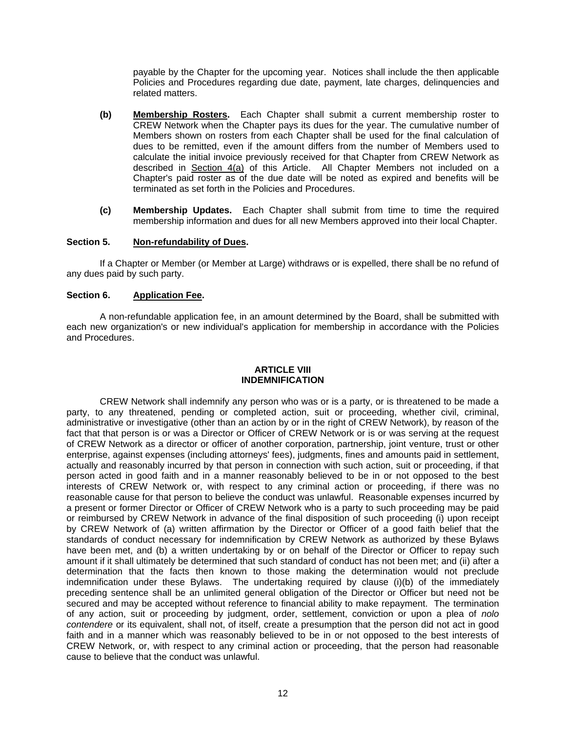payable by the Chapter for the upcoming year. Notices shall include the then applicable Policies and Procedures regarding due date, payment, late charges, delinquencies and related matters.

- **(b) Membership Rosters.** Each Chapter shall submit a current membership roster to CREW Network when the Chapter pays its dues for the year. The cumulative number of Members shown on rosters from each Chapter shall be used for the final calculation of dues to be remitted, even if the amount differs from the number of Members used to calculate the initial invoice previously received for that Chapter from CREW Network as described in Section 4(a) of this Article. All Chapter Members not included on a Chapter's paid roster as of the due date will be noted as expired and benefits will be terminated as set forth in the Policies and Procedures.
- **(c) Membership Updates.** Each Chapter shall submit from time to time the required membership information and dues for all new Members approved into their local Chapter.

## **Section 5. Non-refundability of Dues.**

If a Chapter or Member (or Member at Large) withdraws or is expelled, there shall be no refund of any dues paid by such party.

#### **Section 6. Application Fee.**

A non-refundable application fee, in an amount determined by the Board, shall be submitted with each new organization's or new individual's application for membership in accordance with the Policies and Procedures.

## **ARTICLE VIII INDEMNIFICATION**

CREW Network shall indemnify any person who was or is a party, or is threatened to be made a party, to any threatened, pending or completed action, suit or proceeding, whether civil, criminal, administrative or investigative (other than an action by or in the right of CREW Network), by reason of the fact that that person is or was a Director or Officer of CREW Network or is or was serving at the request of CREW Network as a director or officer of another corporation, partnership, joint venture, trust or other enterprise, against expenses (including attorneys' fees), judgments, fines and amounts paid in settlement, actually and reasonably incurred by that person in connection with such action, suit or proceeding, if that person acted in good faith and in a manner reasonably believed to be in or not opposed to the best interests of CREW Network or, with respect to any criminal action or proceeding, if there was no reasonable cause for that person to believe the conduct was unlawful. Reasonable expenses incurred by a present or former Director or Officer of CREW Network who is a party to such proceeding may be paid or reimbursed by CREW Network in advance of the final disposition of such proceeding (i) upon receipt by CREW Network of (a) written affirmation by the Director or Officer of a good faith belief that the standards of conduct necessary for indemnification by CREW Network as authorized by these Bylaws have been met, and (b) a written undertaking by or on behalf of the Director or Officer to repay such amount if it shall ultimately be determined that such standard of conduct has not been met; and (ii) after a determination that the facts then known to those making the determination would not preclude indemnification under these Bylaws. The undertaking required by clause (i)(b) of the immediately preceding sentence shall be an unlimited general obligation of the Director or Officer but need not be secured and may be accepted without reference to financial ability to make repayment. The termination of any action, suit or proceeding by judgment, order, settlement, conviction or upon a plea of *nolo contendere* or its equivalent, shall not, of itself, create a presumption that the person did not act in good faith and in a manner which was reasonably believed to be in or not opposed to the best interests of CREW Network, or, with respect to any criminal action or proceeding, that the person had reasonable cause to believe that the conduct was unlawful.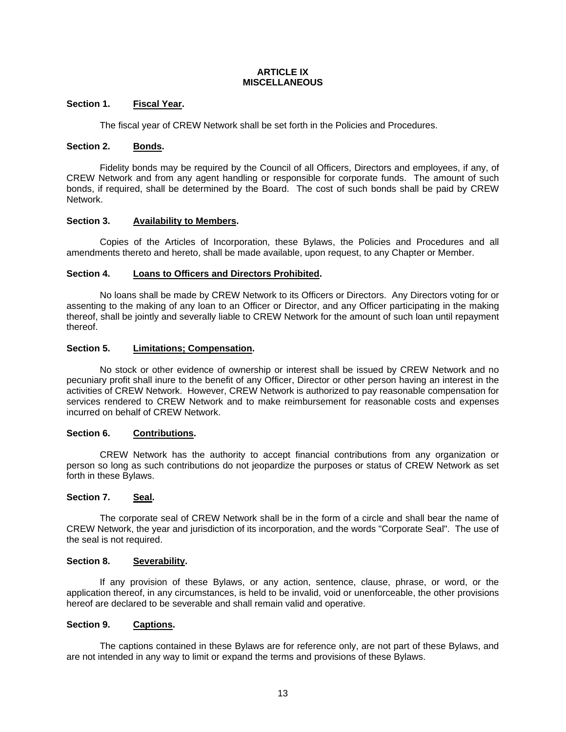#### **ARTICLE IX MISCELLANEOUS**

## **Section 1. Fiscal Year.**

The fiscal year of CREW Network shall be set forth in the Policies and Procedures.

## **Section 2. Bonds.**

Fidelity bonds may be required by the Council of all Officers, Directors and employees, if any, of CREW Network and from any agent handling or responsible for corporate funds. The amount of such bonds, if required, shall be determined by the Board. The cost of such bonds shall be paid by CREW Network.

# **Section 3. Availability to Members.**

Copies of the Articles of Incorporation, these Bylaws, the Policies and Procedures and all amendments thereto and hereto, shall be made available, upon request, to any Chapter or Member.

# **Section 4. Loans to Officers and Directors Prohibited.**

No loans shall be made by CREW Network to its Officers or Directors. Any Directors voting for or assenting to the making of any loan to an Officer or Director, and any Officer participating in the making thereof, shall be jointly and severally liable to CREW Network for the amount of such loan until repayment thereof.

# **Section 5. Limitations; Compensation.**

No stock or other evidence of ownership or interest shall be issued by CREW Network and no pecuniary profit shall inure to the benefit of any Officer, Director or other person having an interest in the activities of CREW Network. However, CREW Network is authorized to pay reasonable compensation for services rendered to CREW Network and to make reimbursement for reasonable costs and expenses incurred on behalf of CREW Network.

## **Section 6. Contributions.**

CREW Network has the authority to accept financial contributions from any organization or person so long as such contributions do not jeopardize the purposes or status of CREW Network as set forth in these Bylaws.

## **Section 7. Seal.**

The corporate seal of CREW Network shall be in the form of a circle and shall bear the name of CREW Network, the year and jurisdiction of its incorporation, and the words "Corporate Seal". The use of the seal is not required.

## **Section 8. Severability.**

If any provision of these Bylaws, or any action, sentence, clause, phrase, or word, or the application thereof, in any circumstances, is held to be invalid, void or unenforceable, the other provisions hereof are declared to be severable and shall remain valid and operative.

## **Section 9. Captions.**

The captions contained in these Bylaws are for reference only, are not part of these Bylaws, and are not intended in any way to limit or expand the terms and provisions of these Bylaws.